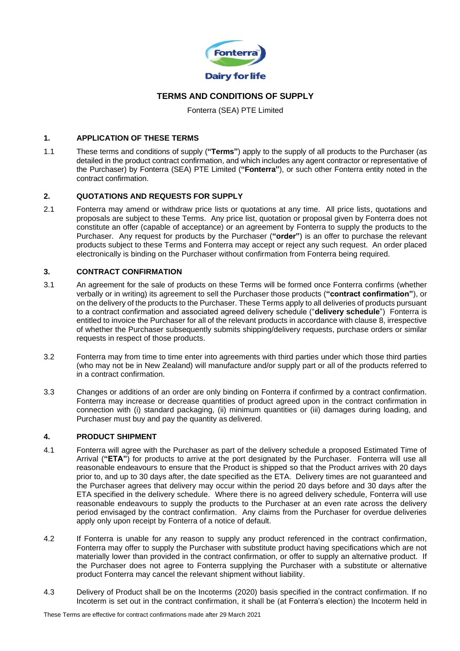

# **TERMS AND CONDITIONS OF SUPPLY**

Fonterra (SEA) PTE Limited

### **1. APPLICATION OF THESE TERMS**

1.1 These terms and conditions of supply (**"Terms"**) apply to the supply of all products to the Purchaser (as detailed in the product contract confirmation, and which includes any agent contractor or representative of the Purchaser) by Fonterra (SEA) PTE Limited (**"Fonterra"**), or such other Fonterra entity noted in the contract confirmation.

### **2. QUOTATIONS AND REQUESTS FOR SUPPLY**

2.1 Fonterra may amend or withdraw price lists or quotations at any time. All price lists, quotations and proposals are subject to these Terms. Any price list, quotation or proposal given by Fonterra does not constitute an offer (capable of acceptance) or an agreement by Fonterra to supply the products to the Purchaser. Any request for products by the Purchaser (**"order"**) is an offer to purchase the relevant products subject to these Terms and Fonterra may accept or reject any such request. An order placed electronically is binding on the Purchaser without confirmation from Fonterra being required.

### **3. CONTRACT CONFIRMATION**

- 3.1 An agreement for the sale of products on these Terms will be formed once Fonterra confirms (whether verbally or in writing) its agreement to sell the Purchaser those products (**"contract confirmation"**), or on the delivery of the products to the Purchaser. These Terms apply to all deliveries of products pursuant to a contract confirmation and associated agreed delivery schedule ("**delivery schedule**") Fonterra is entitled to invoice the Purchaser for all of the relevant products in accordance with clause 8, irrespective of whether the Purchaser subsequently submits shipping/delivery requests, purchase orders or similar requests in respect of those products.
- 3.2 Fonterra may from time to time enter into agreements with third parties under which those third parties (who may not be in New Zealand) will manufacture and/or supply part or all of the products referred to in a contract confirmation.
- 3.3 Changes or additions of an order are only binding on Fonterra if confirmed by a contract confirmation. Fonterra may increase or decrease quantities of product agreed upon in the contract confirmation in connection with (i) standard packaging, (ii) minimum quantities or (iii) damages during loading, and Purchaser must buy and pay the quantity as delivered.

#### **4. PRODUCT SHIPMENT**

- 4.1 Fonterra will agree with the Purchaser as part of the delivery schedule a proposed Estimated Time of Arrival (**"ETA"**) for products to arrive at the port designated by the Purchaser. Fonterra will use all reasonable endeavours to ensure that the Product is shipped so that the Product arrives with 20 days prior to, and up to 30 days after, the date specified as the ETA. Delivery times are not guaranteed and the Purchaser agrees that delivery may occur within the period 20 days before and 30 days after the ETA specified in the delivery schedule. Where there is no agreed delivery schedule, Fonterra will use reasonable endeavours to supply the products to the Purchaser at an even rate across the delivery period envisaged by the contract confirmation. Any claims from the Purchaser for overdue deliveries apply only upon receipt by Fonterra of a notice of default.
- 4.2 If Fonterra is unable for any reason to supply any product referenced in the contract confirmation, Fonterra may offer to supply the Purchaser with substitute product having specifications which are not materially lower than provided in the contract confirmation, or offer to supply an alternative product. If the Purchaser does not agree to Fonterra supplying the Purchaser with a substitute or alternative product Fonterra may cancel the relevant shipment without liability.
- 4.3 Delivery of Product shall be on the Incoterms (2020) basis specified in the contract confirmation. If no Incoterm is set out in the contract confirmation, it shall be (at Fonterra's election) the Incoterm held in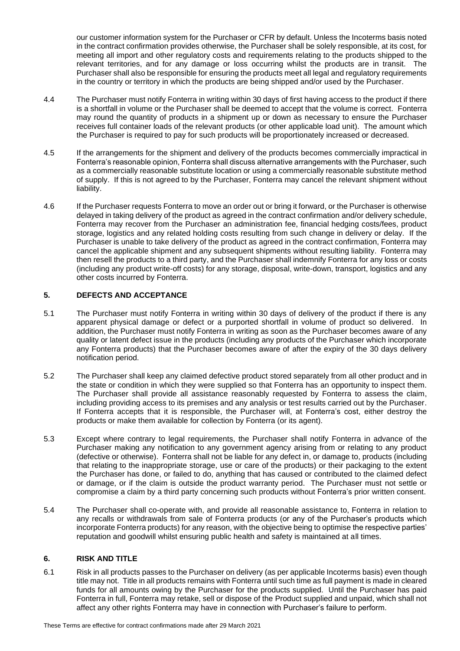our customer information system for the Purchaser or CFR by default. Unless the Incoterms basis noted in the contract confirmation provides otherwise, the Purchaser shall be solely responsible, at its cost, for meeting all import and other regulatory costs and requirements relating to the products shipped to the relevant territories, and for any damage or loss occurring whilst the products are in transit. The Purchaser shall also be responsible for ensuring the products meet all legal and regulatory requirements in the country or territory in which the products are being shipped and/or used by the Purchaser.

- 4.4 The Purchaser must notify Fonterra in writing within 30 days of first having access to the product if there is a shortfall in volume or the Purchaser shall be deemed to accept that the volume is correct. Fonterra may round the quantity of products in a shipment up or down as necessary to ensure the Purchaser receives full container loads of the relevant products (or other applicable load unit). The amount which the Purchaser is required to pay for such products will be proportionately increased or decreased.
- 4.5 If the arrangements for the shipment and delivery of the products becomes commercially impractical in Fonterra's reasonable opinion, Fonterra shall discuss alternative arrangements with the Purchaser, such as a commercially reasonable substitute location or using a commercially reasonable substitute method of supply. If this is not agreed to by the Purchaser, Fonterra may cancel the relevant shipment without liability.
- 4.6 If the Purchaser requests Fonterra to move an order out or bring it forward, or the Purchaser is otherwise delayed in taking delivery of the product as agreed in the contract confirmation and/or delivery schedule, Fonterra may recover from the Purchaser an administration fee, financial hedging costs/fees, product storage, logistics and any related holding costs resulting from such change in delivery or delay. If the Purchaser is unable to take delivery of the product as agreed in the contract confirmation, Fonterra may cancel the applicable shipment and any subsequent shipments without resulting liability. Fonterra may then resell the products to a third party, and the Purchaser shall indemnify Fonterra for any loss or costs (including any product write-off costs) for any storage, disposal, write-down, transport, logistics and any other costs incurred by Fonterra.

# **5. DEFECTS AND ACCEPTANCE**

- 5.1 The Purchaser must notify Fonterra in writing within 30 days of delivery of the product if there is any apparent physical damage or defect or a purported shortfall in volume of product so delivered. In addition, the Purchaser must notify Fonterra in writing as soon as the Purchaser becomes aware of any quality or latent defect issue in the products (including any products of the Purchaser which incorporate any Fonterra products) that the Purchaser becomes aware of after the expiry of the 30 days delivery notification period.
- 5.2 The Purchaser shall keep any claimed defective product stored separately from all other product and in the state or condition in which they were supplied so that Fonterra has an opportunity to inspect them. The Purchaser shall provide all assistance reasonably requested by Fonterra to assess the claim, including providing access to its premises and any analysis or test results carried out by the Purchaser. If Fonterra accepts that it is responsible, the Purchaser will, at Fonterra's cost, either destroy the products or make them available for collection by Fonterra (or its agent).
- 5.3 Except where contrary to legal requirements, the Purchaser shall notify Fonterra in advance of the Purchaser making any notification to any government agency arising from or relating to any product (defective or otherwise). Fonterra shall not be liable for any defect in, or damage to, products (including that relating to the inappropriate storage, use or care of the products) or their packaging to the extent the Purchaser has done, or failed to do, anything that has caused or contributed to the claimed defect or damage, or if the claim is outside the product warranty period. The Purchaser must not settle or compromise a claim by a third party concerning such products without Fonterra's prior written consent.
- 5.4 The Purchaser shall co-operate with, and provide all reasonable assistance to, Fonterra in relation to any recalls or withdrawals from sale of Fonterra products (or any of the Purchaser's products which incorporate Fonterra products) for any reason, with the objective being to optimise the respective parties' reputation and goodwill whilst ensuring public health and safety is maintained at all times.

# **6. RISK AND TITLE**

6.1 Risk in all products passes to the Purchaser on delivery (as per applicable Incoterms basis) even though title may not. Title in all products remains with Fonterra until such time as full payment is made in cleared funds for all amounts owing by the Purchaser for the products supplied. Until the Purchaser has paid Fonterra in full, Fonterra may retake, sell or dispose of the Product supplied and unpaid, which shall not affect any other rights Fonterra may have in connection with Purchaser's failure to perform.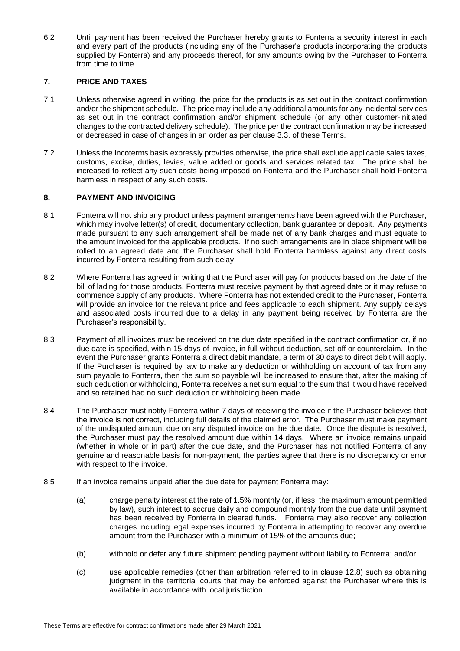6.2 Until payment has been received the Purchaser hereby grants to Fonterra a security interest in each and every part of the products (including any of the Purchaser's products incorporating the products supplied by Fonterra) and any proceeds thereof, for any amounts owing by the Purchaser to Fonterra from time to time.

# **7. PRICE AND TAXES**

- 7.1 Unless otherwise agreed in writing, the price for the products is as set out in the contract confirmation and/or the shipment schedule. The price may include any additional amounts for any incidental services as set out in the contract confirmation and/or shipment schedule (or any other customer-initiated changes to the contracted delivery schedule). The price per the contract confirmation may be increased or decreased in case of changes in an order as per clause 3.3. of these Terms.
- 7.2 Unless the Incoterms basis expressly provides otherwise, the price shall exclude applicable sales taxes, customs, excise, duties, levies, value added or goods and services related tax. The price shall be increased to reflect any such costs being imposed on Fonterra and the Purchaser shall hold Fonterra harmless in respect of any such costs.

# **8. PAYMENT AND INVOICING**

- 8.1 Fonterra will not ship any product unless payment arrangements have been agreed with the Purchaser, which may involve letter(s) of credit, documentary collection, bank guarantee or deposit. Any payments made pursuant to any such arrangement shall be made net of any bank charges and must equate to the amount invoiced for the applicable products. If no such arrangements are in place shipment will be rolled to an agreed date and the Purchaser shall hold Fonterra harmless against any direct costs incurred by Fonterra resulting from such delay.
- 8.2 Where Fonterra has agreed in writing that the Purchaser will pay for products based on the date of the bill of lading for those products, Fonterra must receive payment by that agreed date or it may refuse to commence supply of any products. Where Fonterra has not extended credit to the Purchaser, Fonterra will provide an invoice for the relevant price and fees applicable to each shipment. Any supply delays and associated costs incurred due to a delay in any payment being received by Fonterra are the Purchaser's responsibility.
- 8.3 Payment of all invoices must be received on the due date specified in the contract confirmation or, if no due date is specified, within 15 days of invoice, in full without deduction, set-off or counterclaim. In the event the Purchaser grants Fonterra a direct debit mandate, a term of 30 days to direct debit will apply. If the Purchaser is required by law to make any deduction or withholding on account of tax from any sum payable to Fonterra, then the sum so payable will be increased to ensure that, after the making of such deduction or withholding, Fonterra receives a net sum equal to the sum that it would have received and so retained had no such deduction or withholding been made.
- 8.4 The Purchaser must notify Fonterra within 7 days of receiving the invoice if the Purchaser believes that the invoice is not correct, including full details of the claimed error. The Purchaser must make payment of the undisputed amount due on any disputed invoice on the due date. Once the dispute is resolved, the Purchaser must pay the resolved amount due within 14 days. Where an invoice remains unpaid (whether in whole or in part) after the due date, and the Purchaser has not notified Fonterra of any genuine and reasonable basis for non-payment, the parties agree that there is no discrepancy or error with respect to the invoice.
- 8.5 If an invoice remains unpaid after the due date for payment Fonterra may:
	- (a) charge penalty interest at the rate of 1.5% monthly (or, if less, the maximum amount permitted by law), such interest to accrue daily and compound monthly from the due date until payment has been received by Fonterra in cleared funds. Fonterra may also recover any collection charges including legal expenses incurred by Fonterra in attempting to recover any overdue amount from the Purchaser with a minimum of 15% of the amounts due;
	- (b) withhold or defer any future shipment pending payment without liability to Fonterra; and/or
	- (c) use applicable remedies (other than arbitration referred to in clause 12.8) such as obtaining judgment in the territorial courts that may be enforced against the Purchaser where this is available in accordance with local jurisdiction.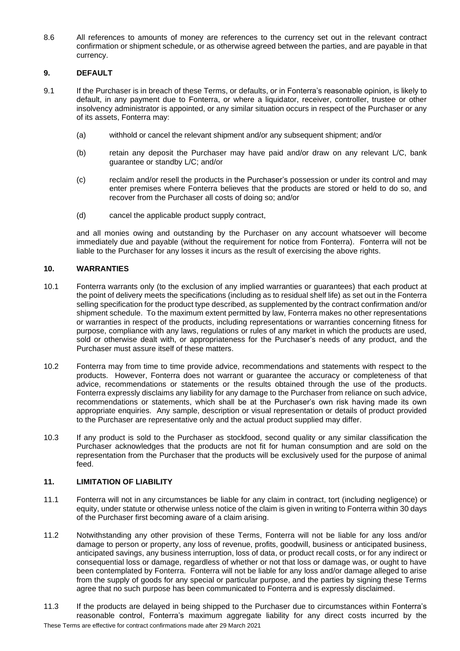8.6 All references to amounts of money are references to the currency set out in the relevant contract confirmation or shipment schedule, or as otherwise agreed between the parties, and are payable in that currency.

# **9. DEFAULT**

- 9.1 If the Purchaser is in breach of these Terms, or defaults, or in Fonterra's reasonable opinion, is likely to default, in any payment due to Fonterra, or where a liquidator, receiver, controller, trustee or other insolvency administrator is appointed, or any similar situation occurs in respect of the Purchaser or any of its assets, Fonterra may:
	- (a) withhold or cancel the relevant shipment and/or any subsequent shipment; and/or
	- (b) retain any deposit the Purchaser may have paid and/or draw on any relevant L/C, bank guarantee or standby L/C; and/or
	- (c) reclaim and/or resell the products in the Purchaser's possession or under its control and may enter premises where Fonterra believes that the products are stored or held to do so, and recover from the Purchaser all costs of doing so; and/or
	- (d) cancel the applicable product supply contract,

and all monies owing and outstanding by the Purchaser on any account whatsoever will become immediately due and payable (without the requirement for notice from Fonterra). Fonterra will not be liable to the Purchaser for any losses it incurs as the result of exercising the above rights.

### **10. WARRANTIES**

- 10.1 Fonterra warrants only (to the exclusion of any implied warranties or guarantees) that each product at the point of delivery meets the specifications (including as to residual shelf life) as set out in the Fonterra selling specification for the product type described, as supplemented by the contract confirmation and/or shipment schedule. To the maximum extent permitted by law, Fonterra makes no other representations or warranties in respect of the products, including representations or warranties concerning fitness for purpose, compliance with any laws, regulations or rules of any market in which the products are used, sold or otherwise dealt with, or appropriateness for the Purchaser's needs of any product, and the Purchaser must assure itself of these matters.
- 10.2 Fonterra may from time to time provide advice, recommendations and statements with respect to the products. However, Fonterra does not warrant or guarantee the accuracy or completeness of that advice, recommendations or statements or the results obtained through the use of the products. Fonterra expressly disclaims any liability for any damage to the Purchaser from reliance on such advice, recommendations or statements, which shall be at the Purchaser's own risk having made its own appropriate enquiries. Any sample, description or visual representation or details of product provided to the Purchaser are representative only and the actual product supplied may differ.
- 10.3 If any product is sold to the Purchaser as stockfood, second quality or any similar classification the Purchaser acknowledges that the products are not fit for human consumption and are sold on the representation from the Purchaser that the products will be exclusively used for the purpose of animal feed.

# **11. LIMITATION OF LIABILITY**

- 11.1 Fonterra will not in any circumstances be liable for any claim in contract, tort (including negligence) or equity, under statute or otherwise unless notice of the claim is given in writing to Fonterra within 30 days of the Purchaser first becoming aware of a claim arising.
- 11.2 Notwithstanding any other provision of these Terms, Fonterra will not be liable for any loss and/or damage to person or property, any loss of revenue, profits, goodwill, business or anticipated business, anticipated savings, any business interruption, loss of data, or product recall costs, or for any indirect or consequential loss or damage, regardless of whether or not that loss or damage was, or ought to have been contemplated by Fonterra. Fonterra will not be liable for any loss and/or damage alleged to arise from the supply of goods for any special or particular purpose, and the parties by signing these Terms agree that no such purpose has been communicated to Fonterra and is expressly disclaimed.
- 11.3 If the products are delayed in being shipped to the Purchaser due to circumstances within Fonterra's reasonable control, Fonterra's maximum aggregate liability for any direct costs incurred by the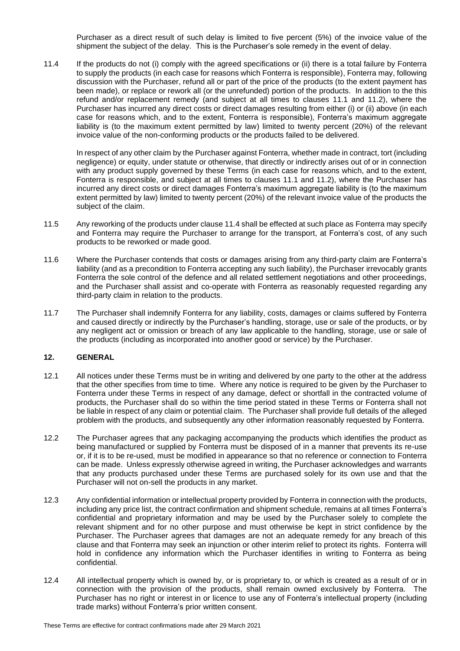Purchaser as a direct result of such delay is limited to five percent (5%) of the invoice value of the shipment the subject of the delay. This is the Purchaser's sole remedy in the event of delay.

11.4 If the products do not (i) comply with the agreed specifications or (ii) there is a total failure by Fonterra to supply the products (in each case for reasons which Fonterra is responsible), Fonterra may, following discussion with the Purchaser, refund all or part of the price of the products (to the extent payment has been made), or replace or rework all (or the unrefunded) portion of the products. In addition to the this refund and/or replacement remedy (and subject at all times to clauses 11.1 and 11.2), where the Purchaser has incurred any direct costs or direct damages resulting from either (i) or (ii) above (in each case for reasons which, and to the extent, Fonterra is responsible), Fonterra's maximum aggregate liability is (to the maximum extent permitted by law) limited to twenty percent (20%) of the relevant invoice value of the non-conforming products or the products failed to be delivered.

<span id="page-4-0"></span>In respect of any other claim by the Purchaser against Fonterra, whether made in contract, tort (including negligence) or equity, under statute or otherwise, that directly or indirectly arises out of or in connection with any product supply governed by these Terms (in each case for reasons which, and to the extent, Fonterra is responsible, and subject at all times to clauses 11.1 and 11.2), where the Purchaser has incurred any direct costs or direct damages Fonterra's maximum aggregate liability is (to the maximum extent permitted by law) limited to twenty percent (20%) of the relevant invoice value of the products the subject of the claim.

- 11.5 Any reworking of the products under clause [11.4](#page-4-0) shall be effected at such place as Fonterra may specify and Fonterra may require the Purchaser to arrange for the transport, at Fonterra's cost, of any such products to be reworked or made good.
- 11.6 Where the Purchaser contends that costs or damages arising from any third-party claim are Fonterra's liability (and as a precondition to Fonterra accepting any such liability), the Purchaser irrevocably grants Fonterra the sole control of the defence and all related settlement negotiations and other proceedings, and the Purchaser shall assist and co-operate with Fonterra as reasonably requested regarding any third-party claim in relation to the products.
- 11.7 The Purchaser shall indemnify Fonterra for any liability, costs, damages or claims suffered by Fonterra and caused directly or indirectly by the Purchaser's handling, storage, use or sale of the products, or by any negligent act or omission or breach of any law applicable to the handling, storage, use or sale of the products (including as incorporated into another good or service) by the Purchaser.

# **12. GENERAL**

- 12.1 All notices under these Terms must be in writing and delivered by one party to the other at the address that the other specifies from time to time. Where any notice is required to be given by the Purchaser to Fonterra under these Terms in respect of any damage, defect or shortfall in the contracted volume of products, the Purchaser shall do so within the time period stated in these Terms or Fonterra shall not be liable in respect of any claim or potential claim. The Purchaser shall provide full details of the alleged problem with the products, and subsequently any other information reasonably requested by Fonterra.
- 12.2 The Purchaser agrees that any packaging accompanying the products which identifies the product as being manufactured or supplied by Fonterra must be disposed of in a manner that prevents its re-use or, if it is to be re-used, must be modified in appearance so that no reference or connection to Fonterra can be made. Unless expressly otherwise agreed in writing, the Purchaser acknowledges and warrants that any products purchased under these Terms are purchased solely for its own use and that the Purchaser will not on-sell the products in any market.
- 12.3 Any confidential information or intellectual property provided by Fonterra in connection with the products, including any price list, the contract confirmation and shipment schedule, remains at all times Fonterra's confidential and proprietary information and may be used by the Purchaser solely to complete the relevant shipment and for no other purpose and must otherwise be kept in strict confidence by the Purchaser. The Purchaser agrees that damages are not an adequate remedy for any breach of this clause and that Fonterra may seek an injunction or other interim relief to protect its rights. Fonterra will hold in confidence any information which the Purchaser identifies in writing to Fonterra as being confidential.
- 12.4 All intellectual property which is owned by, or is proprietary to, or which is created as a result of or in connection with the provision of the products, shall remain owned exclusively by Fonterra. The Purchaser has no right or interest in or licence to use any of Fonterra's intellectual property (including trade marks) without Fonterra's prior written consent.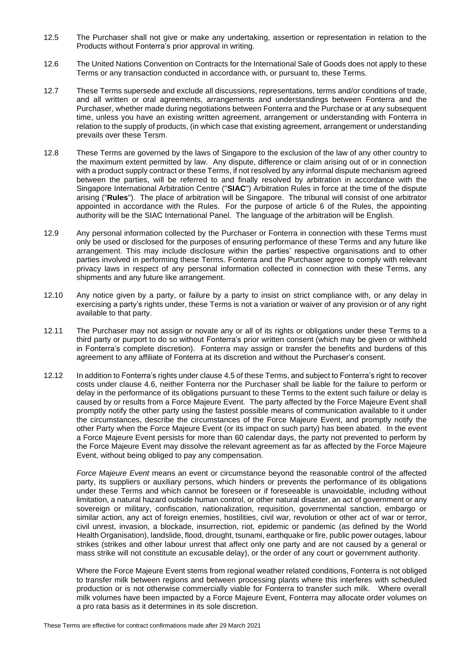- 12.5 The Purchaser shall not give or make any undertaking, assertion or representation in relation to the Products without Fonterra's prior approval in writing.
- 12.6 The United Nations Convention on Contracts for the International Sale of Goods does not apply to these Terms or any transaction conducted in accordance with, or pursuant to, these Terms.
- 12.7 These Terms supersede and exclude all discussions, representations, terms and/or conditions of trade, and all written or oral agreements, arrangements and understandings between Fonterra and the Purchaser, whether made during negotiations between Fonterra and the Purchase or at any subsequent time, unless you have an existing written agreement, arrangement or understanding with Fonterra in relation to the supply of products, (in which case that existing agreement, arrangement or understanding prevails over these Tersm.
- 12.8 These Terms are governed by the laws of Singapore to the exclusion of the law of any other country to the maximum extent permitted by law. Any dispute, difference or claim arising out of or in connection with a product supply contract or these Terms, if not resolved by any informal dispute mechanism agreed between the parties, will be referred to and finally resolved by arbitration in accordance with the Singapore International Arbitration Centre ("**SIAC**") Arbitration Rules in force at the time of the dispute arising ("**Rules**"). The place of arbitration will be Singapore. The tribunal will consist of one arbitrator appointed in accordance with the Rules. For the purpose of article 6 of the Rules, the appointing authority will be the SIAC International Panel. The language of the arbitration will be English.
- 12.9 Any personal information collected by the Purchaser or Fonterra in connection with these Terms must only be used or disclosed for the purposes of ensuring performance of these Terms and any future like arrangement. This may include disclosure within the parties' respective organisations and to other parties involved in performing these Terms. Fonterra and the Purchaser agree to comply with relevant privacy laws in respect of any personal information collected in connection with these Terms, any shipments and any future like arrangement.
- 12.10 Any notice given by a party, or failure by a party to insist on strict compliance with, or any delay in exercising a party's rights under, these Terms is not a variation or waiver of any provision or of any right available to that party.
- 12.11 The Purchaser may not assign or novate any or all of its rights or obligations under these Terms to a third party or purport to do so without Fonterra's prior written consent (which may be given or withheld in Fonterra's complete discretion). Fonterra may assign or transfer the benefits and burdens of this agreement to any affiliate of Fonterra at its discretion and without the Purchaser's consent.
- 12.12 In addition to Fonterra's rights under clause 4.5 of these Terms, and subject to Fonterra's right to recover costs under clause 4.6, neither Fonterra nor the Purchaser shall be liable for the failure to perform or delay in the performance of its obligations pursuant to these Terms to the extent such failure or delay is caused by or results from a Force Majeure Event. The party affected by the Force Majeure Event shall promptly notify the other party using the fastest possible means of communication available to it under the circumstances, describe the circumstances of the Force Majeure Event, and promptly notify the other Party when the Force Majeure Event (or its impact on such party) has been abated. In the event a Force Majeure Event persists for more than 60 calendar days, the party not prevented to perform by the Force Majeure Event may dissolve the relevant agreement as far as affected by the Force Majeure Event, without being obliged to pay any compensation.

*Force Majeure Event* means an event or circumstance beyond the reasonable control of the affected party, its suppliers or auxiliary persons, which hinders or prevents the performance of its obligations under these Terms and which cannot be foreseen or if foreseeable is unavoidable, including without limitation, a natural hazard outside human control, or other natural disaster, an act of government or any sovereign or military, confiscation, nationalization, requisition, governmental sanction, embargo or similar action, any act of foreign enemies, hostilities, civil war, revolution or other act of war or terror, civil unrest, invasion, a blockade, insurrection, riot, epidemic or pandemic (as defined by the World Health Organisation), landslide, flood, drought, tsunami, earthquake or fire, public power outages, labour strikes (strikes and other labour unrest that affect only one party and are not caused by a general or mass strike will not constitute an excusable delay), or the order of any court or government authority.

Where the Force Majeure Event stems from regional weather related conditions, Fonterra is not obliged to transfer milk between regions and between processing plants where this interferes with scheduled production or is not otherwise commercially viable for Fonterra to transfer such milk. Where overall milk volumes have been impacted by a Force Majeure Event, Fonterra may allocate order volumes on a pro rata basis as it determines in its sole discretion.